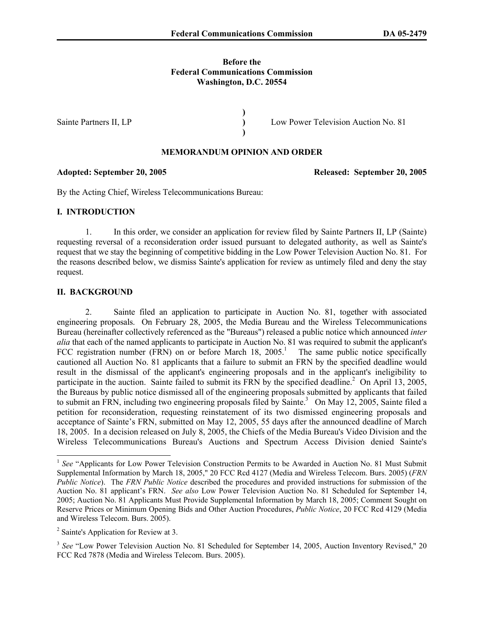## **Before the Federal Communications Commission Washington, D.C. 20554**

**) ) )** 

Sainte Partners II, LP

Low Power Television Auction No. 81

# **MEMORANDUM OPINION AND ORDER**

By the Acting Chief, Wireless Telecommunications Bureau:

## **I. INTRODUCTION**

1. In this order, we consider an application for review filed by Sainte Partners II, LP (Sainte) requesting reversal of a reconsideration order issued pursuant to delegated authority, as well as Sainte's request that we stay the beginning of competitive bidding in the Low Power Television Auction No. 81. For the reasons described below, we dismiss Sainte's application for review as untimely filed and deny the stay request.

### **II. BACKGROUND**

 $\overline{a}$ 

2. Sainte filed an application to participate in Auction No. 81, together with associated engineering proposals. On February 28, 2005, the Media Bureau and the Wireless Telecommunications Bureau (hereinafter collectively referenced as the "Bureaus") released a public notice which announced *inter alia* that each of the named applicants to participate in Auction No. 81 was required to submit the applicant's FCC registration number (FRN) on or before March 18,  $2005$ <sup>1</sup>. The same public notice specifically cautioned all Auction No. 81 applicants that a failure to submit an FRN by the specified deadline would result in the dismissal of the applicant's engineering proposals and in the applicant's ineligibility to participate in the auction. Sainte failed to submit its FRN by the specified deadline.<sup>2</sup> On April 13, 2005, the Bureaus by public notice dismissed all of the engineering proposals submitted by applicants that failed to submit an FRN, including two engineering proposals filed by Sainte.<sup>3</sup> On May 12, 2005, Sainte filed a petition for reconsideration, requesting reinstatement of its two dismissed engineering proposals and acceptance of Sainte's FRN, submitted on May 12, 2005, 55 days after the announced deadline of March 18, 2005. In a decision released on July 8, 2005, the Chiefs of the Media Bureau's Video Division and the Wireless Telecommunications Bureau's Auctions and Spectrum Access Division denied Sainte's

**Adopted: September 20, 2005 Released: September 20, 2005** 

<sup>&</sup>lt;sup>1</sup> See "Applicants for Low Power Television Construction Permits to be Awarded in Auction No. 81 Must Submit Supplemental Information by March 18, 2005," 20 FCC Rcd 4127 (Media and Wireless Telecom. Burs. 2005) (*FRN Public Notice*). The *FRN Public Notice* described the procedures and provided instructions for submission of the Auction No. 81 applicant's FRN. *See also* Low Power Television Auction No. 81 Scheduled for September 14, 2005; Auction No. 81 Applicants Must Provide Supplemental Information by March 18, 2005; Comment Sought on Reserve Prices or Minimum Opening Bids and Other Auction Procedures, *Public Notice*, 20 FCC Rcd 4129 (Media and Wireless Telecom. Burs. 2005).

<sup>&</sup>lt;sup>2</sup> Sainte's Application for Review at 3.

<sup>&</sup>lt;sup>3</sup> See "Low Power Television Auction No. 81 Scheduled for September 14, 2005, Auction Inventory Revised," 20 FCC Rcd 7878 (Media and Wireless Telecom. Burs. 2005).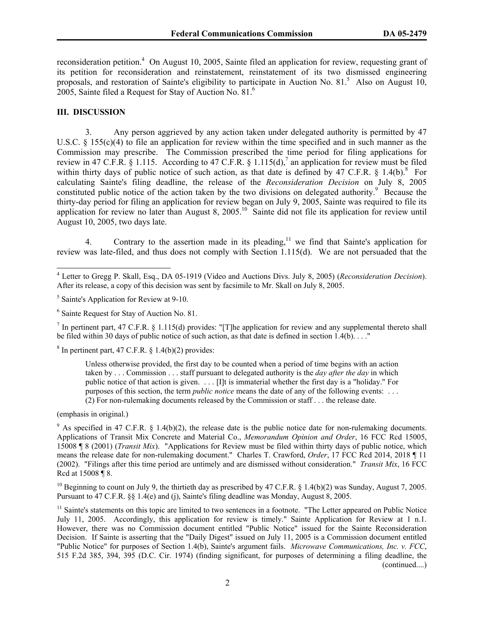reconsideration petition.<sup>4</sup> On August 10, 2005, Sainte filed an application for review, requesting grant of its petition for reconsideration and reinstatement, reinstatement of its two dismissed engineering proposals, and restoration of Sainte's eligibility to participate in Auction No. 81.<sup>5</sup> Also on August 10, 2005, Sainte filed a Request for Stay of Auction No. 81.6

### **III. DISCUSSION**

 $\overline{a}$ 

3. Any person aggrieved by any action taken under delegated authority is permitted by 47 U.S.C. § 155(c)(4) to file an application for review within the time specified and in such manner as the Commission may prescribe. The Commission prescribed the time period for filing applications for review in 47 C.F.R. § 1.115. According to 47 C.F.R. § 1.115(d),<sup>7</sup> an application for review must be filed within thirty days of public notice of such action, as that date is defined by 47 C.F.R.  $\S$  1.4(b).<sup>8</sup> For calculating Sainte's filing deadline, the release of the *Reconsideration Decision* on July 8, 2005 constituted public notice of the action taken by the two divisions on delegated authority.<sup>9</sup> Because the thirty-day period for filing an application for review began on July 9, 2005, Sainte was required to file its application for review no later than August 8,  $2005<sup>10</sup>$  Sainte did not file its application for review until August 10, 2005, two days late.

4. Contrary to the assertion made in its pleading,<sup>11</sup> we find that Sainte's application for review was late-filed, and thus does not comply with Section 1.115(d). We are not persuaded that the

<sup>7</sup> In pertinent part, 47 C.F.R. § 1.115(d) provides: "[T]he application for review and any supplemental thereto shall be filed within 30 days of public notice of such action, as that date is defined in section 1.4(b). . . ."

 $8 \text{ In pertinent part, } 47 \text{ C.F.R. } \S 1.4(b)(2) \text{ provides: }$ 

Unless otherwise provided, the first day to be counted when a period of time begins with an action taken by . . . Commission . . . staff pursuant to delegated authority is the *day after the day* in which public notice of that action is given. . . . [I]t is immaterial whether the first day is a "holiday." For purposes of this section, the term *public notice* means the date of any of the following events: . . . (2) For non-rulemaking documents released by the Commission or staff . . . the release date.

(emphasis in original.)

<sup>9</sup> As specified in 47 C.F.R. § 1.4(b)(2), the release date is the public notice date for non-rulemaking documents. Applications of Transit Mix Concrete and Material Co., *Memorandum Opinion and Order*, 16 FCC Rcd 15005, 15008 ¶ 8 (2001) (*Transit Mix*). "Applications for Review must be filed within thirty days of public notice, which means the release date for non-rulemaking document." Charles T. Crawford, *Order*, 17 FCC Rcd 2014, 2018 ¶ 11 (2002). "Filings after this time period are untimely and are dismissed without consideration." *Transit Mix*, 16 FCC Rcd at 15008 ¶ 8.

<sup>10</sup> Beginning to count on July 9, the thirtieth day as prescribed by 47 C.F.R. § 1.4(b)(2) was Sunday, August 7, 2005. Pursuant to 47 C.F.R. §§ 1.4(e) and (j), Sainte's filing deadline was Monday, August 8, 2005.

<sup>11</sup> Sainte's statements on this topic are limited to two sentences in a footnote. "The Letter appeared on Public Notice July 11, 2005. Accordingly, this application for review is timely." Sainte Application for Review at 1 n.1. However, there was no Commission document entitled "Public Notice" issued for the Sainte Reconsideration Decision. If Sainte is asserting that the "Daily Digest" issued on July 11, 2005 is a Commission document entitled "Public Notice" for purposes of Section 1.4(b), Sainte's argument fails. *Microwave Communications, Inc. v. FCC*, 515 F.2d 385, 394, 395 (D.C. Cir. 1974) (finding significant, for purposes of determining a filing deadline, the (continued....)

<sup>4</sup> Letter to Gregg P. Skall, Esq., DA 05-1919 (Video and Auctions Divs. July 8, 2005) (*Reconsideration Decision*). After its release, a copy of this decision was sent by facsimile to Mr. Skall on July 8, 2005.

<sup>&</sup>lt;sup>5</sup> Sainte's Application for Review at 9-10.

<sup>6</sup> Sainte Request for Stay of Auction No. 81.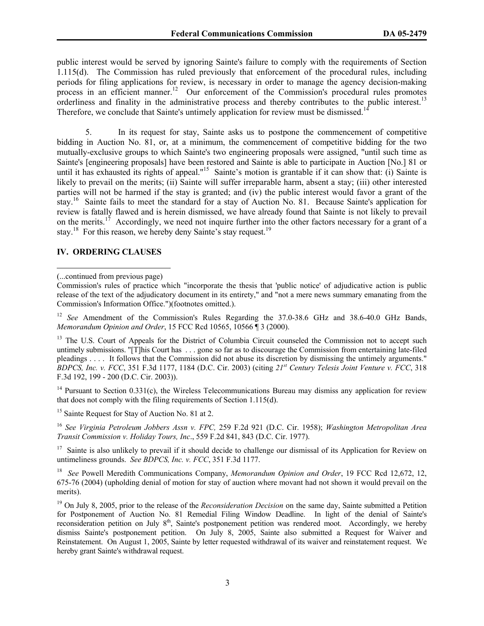public interest would be served by ignoring Sainte's failure to comply with the requirements of Section 1.115(d). The Commission has ruled previously that enforcement of the procedural rules, including periods for filing applications for review, is necessary in order to manage the agency decision-making process in an efficient manner.<sup>12</sup> Our enforcement of the Commission's procedural rules promotes orderliness and finality in the administrative process and thereby contributes to the public interest.<sup>13</sup> Therefore, we conclude that Sainte's untimely application for review must be dismissed.<sup>1</sup>

5. In its request for stay, Sainte asks us to postpone the commencement of competitive bidding in Auction No. 81, or, at a minimum, the commencement of competitive bidding for the two mutually-exclusive groups to which Sainte's two engineering proposals were assigned, "until such time as Sainte's [engineering proposals] have been restored and Sainte is able to participate in Auction [No.] 81 or until it has exhausted its rights of appeal."15 Sainte's motion is grantable if it can show that: (i) Sainte is likely to prevail on the merits; (ii) Sainte will suffer irreparable harm, absent a stay; (iii) other interested parties will not be harmed if the stay is granted; and (iv) the public interest would favor a grant of the stay.16 Sainte fails to meet the standard for a stay of Auction No. 81. Because Sainte's application for review is fatally flawed and is herein dismissed, we have already found that Sainte is not likely to prevail on the merits.<sup>17</sup> Accordingly, we need not inquire further into the other factors necessary for a grant of a stay.<sup>18</sup> For this reason, we hereby deny Sainte's stay request.<sup>19</sup>

# **IV. ORDERING CLAUSES**

 $\overline{a}$ 

<sup>12</sup> *See* Amendment of the Commission's Rules Regarding the 37.0-38.6 GHz and 38.6-40.0 GHz Bands, *Memorandum Opinion and Order*, 15 FCC Rcd 10565, 10566 ¶ 3 (2000).

<sup>13</sup> The U.S. Court of Appeals for the District of Columbia Circuit counseled the Commission not to accept such untimely submissions. "[T]his Court has . . . gone so far as to discourage the Commission from entertaining late-filed pleadings . . . . It follows that the Commission did not abuse its discretion by dismissing the untimely arguments." *BDPCS, Inc. v. FCC*, 351 F.3d 1177, 1184 (D.C. Cir. 2003) (citing *21st Century Telesis Joint Venture v. FCC*, 318 F.3d 192, 199 - 200 (D.C. Cir. 2003)).

<sup>14</sup> Pursuant to Section 0.331(c), the Wireless Telecommunications Bureau may dismiss any application for review that does not comply with the filing requirements of Section 1.115(d).

<sup>15</sup> Sainte Request for Stay of Auction No. 81 at 2.

<sup>16</sup> *See Virginia Petroleum Jobbers Assn v. FPC,* 259 F.2d 921 (D.C. Cir. 1958); *Washington Metropolitan Area Transit Commission v. Holiday Tours, Inc*., 559 F.2d 841, 843 (D.C. Cir. 1977).

 $17$  Sainte is also unlikely to prevail if it should decide to challenge our dismissal of its Application for Review on untimeliness grounds. *See BDPCS, Inc. v. FCC*, 351 F.3d 1177.

18 *See* Powell Meredith Communications Company, *Memorandum Opinion and Order*, 19 FCC Rcd 12,672, 12, 675-76 (2004) (upholding denial of motion for stay of auction where movant had not shown it would prevail on the merits).

<sup>19</sup> On July 8, 2005, prior to the release of the *Reconsideration Decision* on the same day, Sainte submitted a Petition for Postponement of Auction No. 81 Remedial Filing Window Deadline. In light of the denial of Sainte's reconsideration petition on July 8<sup>th</sup>, Sainte's postponement petition was rendered moot. Accordingly, we hereby dismiss Sainte's postponement petition. On July 8, 2005, Sainte also submitted a Request for Waiver and Reinstatement. On August 1, 2005, Sainte by letter requested withdrawal of its waiver and reinstatement request. We hereby grant Sainte's withdrawal request.

<sup>(...</sup>continued from previous page)

Commission's rules of practice which "incorporate the thesis that 'public notice' of adjudicative action is public release of the text of the adjudicatory document in its entirety," and "not a mere news summary emanating from the Commission's Information Office.")(footnotes omitted.).